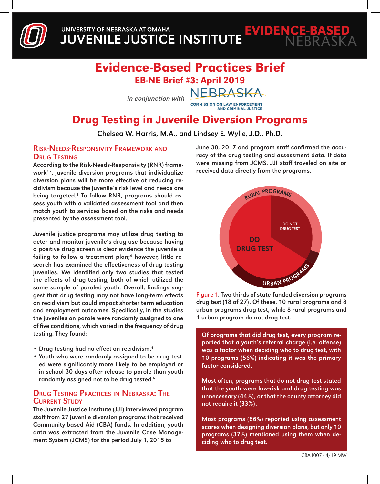

### Evidence-Based Practices Brief EB-NE Brief #3: April 2019

NEBRASKA

in conjunction with

**COMMISSION ON LAW ENFORCEMENT AND CRIMINAL JUSTICE** 

## Drug Testing in Juvenile Diversion Programs

Chelsea W. Harris, M.A., and Lindsey E. Wylie, J.D., Ph.D.

#### Risk-Needs-Responsivity Framework and **DRUG TESTING**

According to the Risk-Needs-Responsivity (RNR) framework $1,2$ , juvenile diversion programs that individualize diversion plans will be more effective at reducing recidivism because the juvenile's risk level and needs are being targeted.<sup>3</sup> To follow RNR, programs should assess youth with a validated assessment tool and then match youth to services based on the risks and needs presented by the assessment tool.

Juvenile justice programs may utilize drug testing to deter and monitor juvenile's drug use because having a positive drug screen is clear evidence the juvenile is failing to follow a treatment plan;<sup>4</sup> however, little research has examined the effectiveness of drug testing juveniles. We identified only two studies that tested the effects of drug testing, both of which utilized the same sample of paroled youth. Overall, findings suggest that drug testing may not have long-term effects on recidivism but could impact shorter term education and employment outcomes. Specifically, in the studies the juveniles on parole were randomly assigned to one of five conditions, which varied in the frequency of drug testing. They found:

- Drug testing had no effect on recidivism.<sup>4</sup>
- Youth who were randomly assigned to be drug tested were significantly more likely to be employed or in school 30 days after release to parole than youth randomly assigned not to be drug tested.<sup>5</sup>

#### Drug Testing Practices in Nebraska: The **CURRENT STUDY**

The Juvenile Justice Institute (JJI) interviewed program staff from 27 juvenile diversion programs that received Community-based Aid (CBA) funds. In addition, youth data was extracted from the Juvenile Case Management System (JCMS) for the period July 1, 2015 to

June 30, 2017 and program staff confirmed the accuracy of the drug testing and assessment data. If data were missing from JCMS, JJI staff traveled on site or received data directly from the programs.



Figure 1. Two-thirds of state-funded diversion programs drug test (18 of 27). Of these, 10 rural programs and 8 urban programs drug test, while 8 rural programs and 1 urban program do not drug test.

Of programs that did drug test, every program reported that a youth's referral charge (i.e. offense) was a factor when deciding who to drug test, with 10 programs (56%) indicating it was the primary factor considered.

Most often, programs that do not drug test stated that the youth were low-risk and drug testing was unnecessary (44%), or that the county attorney did not require it (33%).

Most programs (86%) reported using assessment scores when designing diversion plans, but only 10 programs (37%) mentioned using them when deciding who to drug test.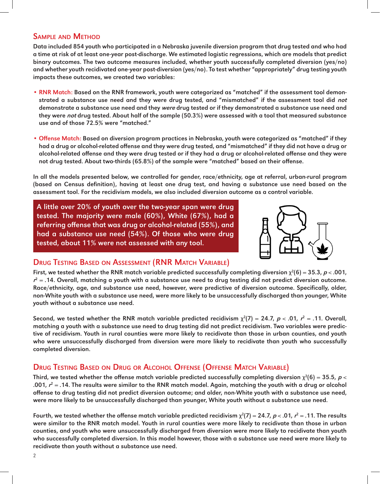#### Sample and Method

Data included 854 youth who participated in a Nebraska juvenile diversion program that drug tested and who had a time at risk of at least one-year post-discharge. We estimated logistic regressions, which are models that predict binary outcomes. The two outcome measures included, whether youth successfully completed diversion (yes/no) and whether youth recidivated one-year post-diversion (yes/no). To test whether "appropriately" drug testing youth impacts these outcomes, we created two variables:

- RNR Match: Based on the RNR framework, youth were categorized as "matched" if the assessment tool demonstrated a substance use need and they were drug tested, and "mismatched" if the assessment tool did not demonstrate a substance use need and they *were* drug tested or if they demonstrated a substance use need and they were *not* drug tested. About half of the sample (50.3%) were assessed with a tool that measured substance use and of those 72.5% were "matched."
- Offense Match: Based on diversion program practices in Nebraska, youth were categorized as "matched" if they had a drug or alcohol-related offense and they were drug tested, and "mismatched" if they did not have a drug or alcohol-related offense and they were drug tested or if they had a drug or alcohol-related offense and they were not drug tested. About two-thirds (65.8%) of the sample were "matched" based on their offense.

In all the models presented below, we controlled for gender, race/ethnicity, age at referral, urban-rural program (based on Census definition), having at least one drug test, and having a substance use need based on the assessment tool. For the recidivism models, we also included diversion outcome as a control variable.

A little over 20% of youth over the two-year span were drug tested. The majority were male (60%), White (67%), had a referring offense that was drug or alcohol-related (55%), and had a substance use need (54%). Of those who were drug tested, about 11% were not assessed with any tool.



#### Drug Testing Based on Assessment (RNR Match Variable)

First, we tested whether the RNR match variable predicted successfully completing diversion  $\chi^2(6) = 35.3$ ,  $p < .001$ ,  $r^2$  = .14. Overall, matching a youth with a substance use need to drug testing did not predict diversion outcome. Race/ethnicity, age, and substance use need, however, were predictive of diversion outcome. Specifically, older, non-White youth with a substance use need, were more likely to be unsuccessfully discharged than younger, White youth without a substance use need.

Second, we tested whether the RNR match variable predicted recidivism  $\chi^2(7) = 24.7$ ,  $p < .01$ ,  $r^2 = .11$ . Overall, matching a youth with a substance use need to drug testing did not predict recidivism. Two variables were predictive of recidivism. Youth in rural counties were more likely to recidivate than those in urban counties, and youth who were unsuccessfully discharged from diversion were more likely to recidivate than youth who successfully completed diversion.

#### Drug Testing Based on Drug or Alcohol Offense (Offense Match Variable)

Third, we tested whether the offense match variable predicted successfully completing diversion  $\chi^2(6)=35.5$ ,  $p<$ .001,  $r^2$  = .14. The results were similar to the RNR match model. Again, matching the youth with a drug or alcohol offense to drug testing did not predict diversion outcome; and older, non-White youth with a substance use need, were more likely to be unsuccessfully discharged than younger, White youth without a substance use need.

Fourth, we tested whether the offense match variable predicted recidivism  $\chi^2(7)$  = 24.7,  $p$  < .01,  $r^2$  = .11. The results were similar to the RNR match model. Youth in rural counties were more likely to recidivate than those in urban counties, and youth who were unsuccessfully discharged from diversion were more likely to recidivate than youth who successfully completed diversion. In this model however, those with a substance use need were more likely to recidivate than youth without a substance use need.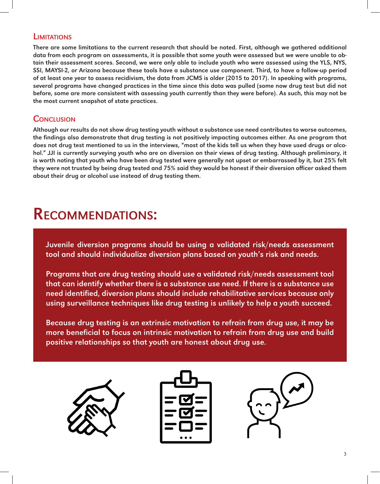#### **LIMITATIONS**

There are some limitations to the current research that should be noted. First, although we gathered additional data from each program on assessments, it is possible that some youth were assessed but we were unable to obtain their assessment scores. Second, we were only able to include youth who were assessed using the YLS, NYS, SSI, MAYSI-2, or Arizona because these tools have a substance use component. Third, to have a follow-up period of at least one year to assess recidivism, the data from JCMS is older (2015 to 2017). In speaking with programs, several programs have changed practices in the time since this data was pulled (some now drug test but did not before, some are more consistent with assessing youth currently than they were before). As such, this may not be the most current snapshot of state practices.

#### **CONCLUSION**

Although our results do not show drug testing youth without a substance use need contributes to worse outcomes, the findings also demonstrate that drug testing is not positively impacting outcomes either. As one program that does not drug test mentioned to us in the interviews, "most of the kids tell us when they have used drugs or alcohol." JJI is currently surveying youth who are on diversion on their views of drug testing. Although preliminary, it is worth noting that youth who have been drug tested were generally not upset or embarrassed by it, but 25% felt they were not trusted by being drug tested and 75% said they would be honest if their diversion officer asked them about their drug or alcohol use instead of drug testing them.

# Recommendations:

Juvenile diversion programs should be using a validated risk/needs assessment tool and should individualize diversion plans based on youth's risk and needs.

Programs that are drug testing should use a validated risk/needs assessment tool that can identify whether there is a substance use need. If there is a substance use need identified, diversion plans should include rehabilitative services because only using surveillance techniques like drug testing is unlikely to help a youth succeed.

Because drug testing is an extrinsic motivation to refrain from drug use, it may be more beneficial to focus on intrinsic motivation to refrain from drug use and build positive relationships so that youth are honest about drug use.